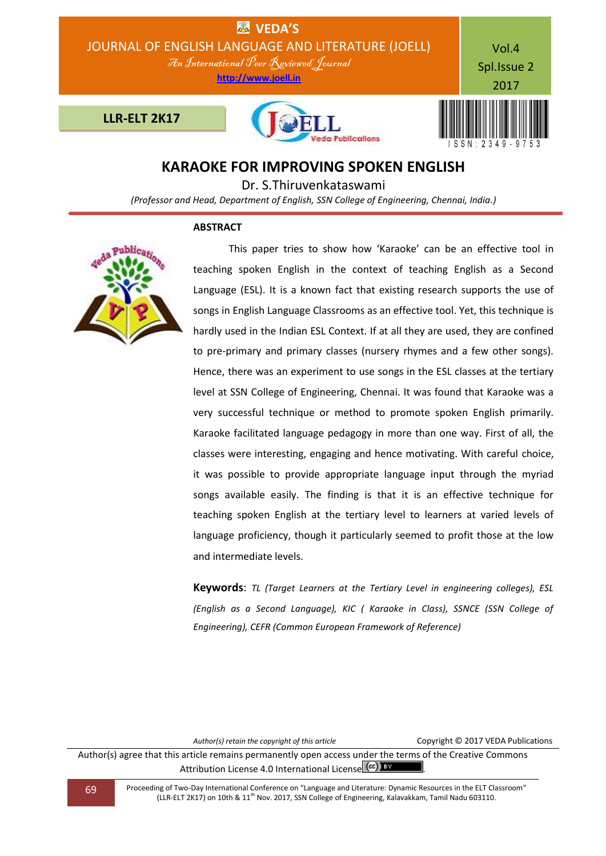

# **KARAOKE FOR IMPROVING SPOKEN ENGLISH**

Dr. S.Thiruvenkataswami

*(Professor and Head, Department of English, SSN College of Engineering, Chennai, India.)*

# **ABSTRACT**



 This paper tries to show how 'Karaoke' can be an effective tool in teaching spoken English in the context of teaching English as a Second Language (ESL). It is a known fact that existing research supports the use of songs in English Language Classrooms as an effective tool. Yet, this technique is hardly used in the Indian ESL Context. If at all they are used, they are confined to pre-primary and primary classes (nursery rhymes and a few other songs). Hence, there was an experiment to use songs in the ESL classes at the tertiary level at SSN College of Engineering, Chennai. It was found that Karaoke was a very successful technique or method to promote spoken English primarily. Karaoke facilitated language pedagogy in more than one way. First of all, the classes were interesting, engaging and hence motivating. With careful choice, it was possible to provide appropriate language input through the myriad songs available easily. The finding is that it is an effective technique for teaching spoken English at the tertiary level to learners at varied levels of language proficiency, though it particularly seemed to profit those at the low and intermediate levels.

**Keywords**: *TL (Target Learners at the Tertiary Level in engineering colleges), ESL (English as a Second Language), KIC ( Karaoke in Class), SSNCE (SSN College of Engineering), CEFR (Common European Framework of Reference)*

*Author(s) retain the copyright of this article* Copyright © 2017 VEDA Publications

Author(s) agree that this article remains permanently open access under the terms of the Creative Commons Attribution License 4.0 International License (CC) BY

69 Proceeding of Two-Day International Conference on "Language and Literature: Dynamic Resources in the ELT Classroom" (LLR-ELT 2K17) on 10th & 11th Nov. 2017, SSN College of Engineering, Kalavakkam, Tamil Nadu 603110.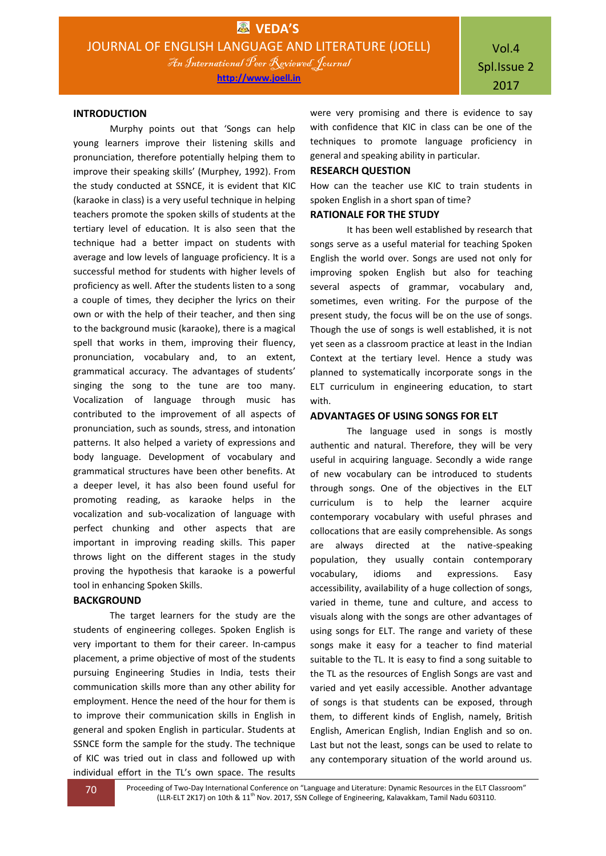### **INTRODUCTION**

Murphy points out that 'Songs can help young learners improve their listening skills and pronunciation, therefore potentially helping them to improve their speaking skills' (Murphey, 1992). From the study conducted at SSNCE, it is evident that KIC (karaoke in class) is a very useful technique in helping teachers promote the spoken skills of students at the tertiary level of education. It is also seen that the technique had a better impact on students with average and low levels of language proficiency. It is a successful method for students with higher levels of proficiency as well. After the students listen to a song a couple of times, they decipher the lyrics on their own or with the help of their teacher, and then sing to the background music (karaoke), there is a magical spell that works in them, improving their fluency, pronunciation, vocabulary and, to an extent, grammatical accuracy. The advantages of students' singing the song to the tune are too many. Vocalization of language through music has contributed to the improvement of all aspects of pronunciation, such as sounds, stress, and intonation patterns. It also helped a variety of expressions and body language. Development of vocabulary and grammatical structures have been other benefits. At a deeper level, it has also been found useful for promoting reading, as karaoke helps in the vocalization and sub-vocalization of language with perfect chunking and other aspects that are important in improving reading skills. This paper throws light on the different stages in the study proving the hypothesis that karaoke is a powerful tool in enhancing Spoken Skills.

### **BACKGROUND**

The target learners for the study are the students of engineering colleges. Spoken English is very important to them for their career. In-campus placement, a prime objective of most of the students pursuing Engineering Studies in India, tests their communication skills more than any other ability for employment. Hence the need of the hour for them is to improve their communication skills in English in general and spoken English in particular. Students at SSNCE form the sample for the study. The technique of KIC was tried out in class and followed up with individual effort in the TL's own space. The results

were very promising and there is evidence to say with confidence that KIC in class can be one of the techniques to promote language proficiency in general and speaking ability in particular.

### **RESEARCH QUESTION**

How can the teacher use KIC to train students in spoken English in a short span of time?

### **RATIONALE FOR THE STUDY**

It has been well established by research that songs serve as a useful material for teaching Spoken English the world over. Songs are used not only for improving spoken English but also for teaching several aspects of grammar, vocabulary and, sometimes, even writing. For the purpose of the present study, the focus will be on the use of songs. Though the use of songs is well established, it is not yet seen as a classroom practice at least in the Indian Context at the tertiary level. Hence a study was planned to systematically incorporate songs in the ELT curriculum in engineering education, to start with.

### **ADVANTAGES OF USING SONGS FOR ELT**

The language used in songs is mostly authentic and natural. Therefore, they will be very useful in acquiring language. Secondly a wide range of new vocabulary can be introduced to students through songs. One of the objectives in the ELT curriculum is to help the learner acquire contemporary vocabulary with useful phrases and collocations that are easily comprehensible. As songs are always directed at the native-speaking population, they usually contain contemporary vocabulary, idioms and expressions. Easy accessibility, availability of a huge collection of songs, varied in theme, tune and culture, and access to visuals along with the songs are other advantages of using songs for ELT. The range and variety of these songs make it easy for a teacher to find material suitable to the TL. It is easy to find a song suitable to the TL as the resources of English Songs are vast and varied and yet easily accessible. Another advantage of songs is that students can be exposed, through them, to different kinds of English, namely, British English, American English, Indian English and so on. Last but not the least, songs can be used to relate to any contemporary situation of the world around us.

70 Proceeding of Two-Day International Conference on "Language and Literature: Dynamic Resources in the ELT Classroom" (LLR-ELT 2K17) on 10th & 11<sup>th</sup> Nov. 2017, SSN College of Engineering, Kalavakkam, Tamil Nadu 603110.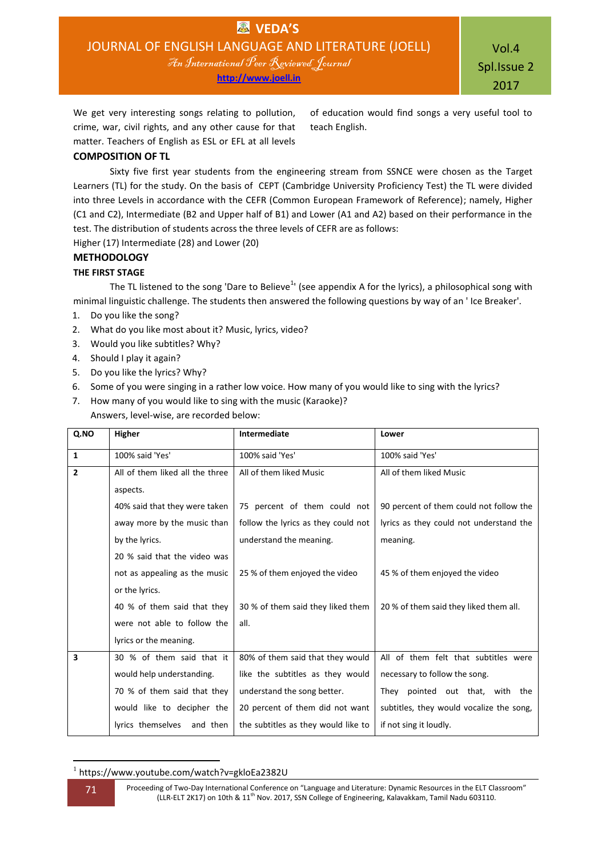Vol.4 Spl.Issue 2 2017

of education would find songs a very useful tool to

We get very interesting songs relating to pollution, crime, war, civil rights, and any other cause for that matter. Teachers of English as ESL or EFL at all levels

**COMPOSITION OF TL**

Sixty five first year students from the engineering stream from SSNCE were chosen as the Target Learners (TL) for the study. On the basis of CEPT (Cambridge University Proficiency Test) the TL were divided into three Levels in accordance with the CEFR (Common European Framework of Reference); namely, Higher (C1 and C2), Intermediate (B2 and Upper half of B1) and Lower (A1 and A2) based on their performance in the test. The distribution of students across the three levels of CEFR are as follows:

teach English.

Higher (17) Intermediate (28) and Lower (20)

# **METHODOLOGY**

# **THE FIRST STAGE**

The TL listened to the song 'Dare to Believe<sup>1</sup>' (see appendix A for the lyrics), a philosophical song with minimal linguistic challenge. The students then answered the following questions by way of an ' Ice Breaker'.

- 1. Do you like the song?
- 2. What do you like most about it? Music, lyrics, video?
- 3. Would you like subtitles? Why?
- 4. Should I play it again?
- 5. Do you like the lyrics? Why?
- 6. Some of you were singing in a rather low voice. How many of you would like to sing with the lyrics?
- 7. How many of you would like to sing with the music (Karaoke)? Answers, level-wise, are recorded below:

| Q.NO           | Higher                          | Intermediate                        | Lower                                    |
|----------------|---------------------------------|-------------------------------------|------------------------------------------|
| $\mathbf{1}$   | 100% said 'Yes'                 | 100% said 'Yes'                     | 100% said 'Yes'                          |
| $\overline{2}$ | All of them liked all the three | All of them liked Music             | All of them liked Music                  |
|                | aspects.                        |                                     |                                          |
|                | 40% said that they were taken   | 75 percent of them could not        | 90 percent of them could not follow the  |
|                | away more by the music than     | follow the lyrics as they could not | lyrics as they could not understand the  |
|                | by the lyrics.                  | understand the meaning.             | meaning.                                 |
|                | 20 % said that the video was    |                                     |                                          |
|                | not as appealing as the music   | 25 % of them enjoyed the video      | 45 % of them enjoyed the video           |
|                | or the lyrics.                  |                                     |                                          |
|                | 40 % of them said that they     | 30 % of them said they liked them   | 20 % of them said they liked them all.   |
|                | were not able to follow the     | all.                                |                                          |
|                | lyrics or the meaning.          |                                     |                                          |
| 3              | 30 % of them said that it       | 80% of them said that they would    | All of them felt that subtitles were     |
|                | would help understanding.       | like the subtitles as they would    | necessary to follow the song.            |
|                | 70 % of them said that they     | understand the song better.         | They pointed out that, with the          |
|                | would like to decipher the      | 20 percent of them did not want     | subtitles, they would vocalize the song, |
|                | lyrics themselves<br>and then   | the subtitles as they would like to | if not sing it loudly.                   |

**<sup>.</sup>** 1 https://www.youtube.com/watch?v=gkloEa2382U

71 Proceeding of Two-Day International Conference on "Language and Literature: Dynamic Resources in the ELT Classroom" (LLR-ELT 2K17) on 10th & 11<sup>th</sup> Nov. 2017, SSN College of Engineering, Kalavakkam, Tamil Nadu 603110.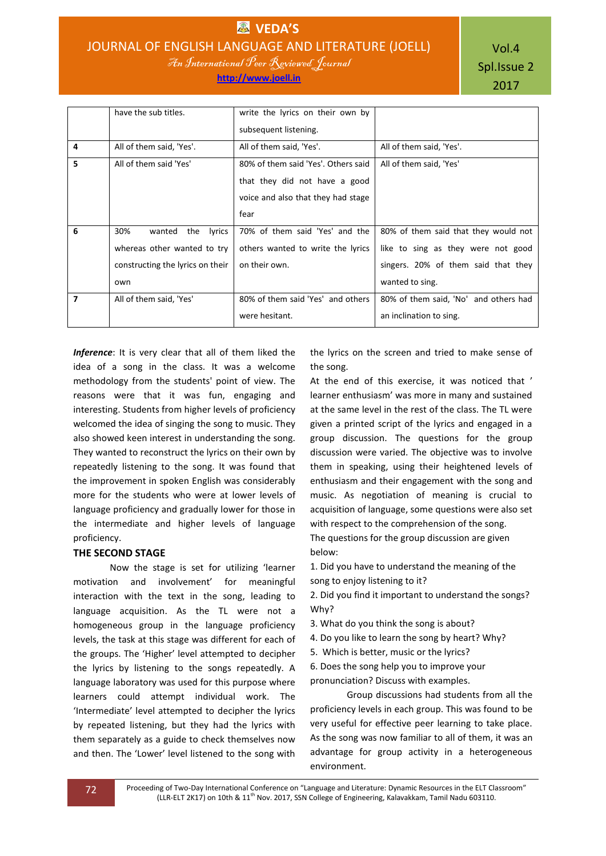**EN VEDA'S** JOURNAL OF ENGLISH LANGUAGE AND LITERATURE (JOELL) An International Peer Reviewed Journal

**http://www.joell.in**

Vol.4 Spl.Issue 2 2017

|   | have the sub titles.             | write the lyrics on their own by    |                                       |
|---|----------------------------------|-------------------------------------|---------------------------------------|
|   |                                  | subsequent listening.               |                                       |
| 4 | All of them said, 'Yes'.         | All of them said, 'Yes'.            | All of them said, 'Yes'.              |
| 5 | All of them said 'Yes'           | 80% of them said 'Yes'. Others said | All of them said, 'Yes'               |
|   |                                  | that they did not have a good       |                                       |
|   |                                  | voice and also that they had stage  |                                       |
|   |                                  | fear                                |                                       |
| 6 | 30%<br>wanted<br>the<br>lyrics   | 70% of them said 'Yes' and the      | 80% of them said that they would not  |
|   | whereas other wanted to try      | others wanted to write the lyrics   | like to sing as they were not good    |
|   | constructing the lyrics on their | on their own.                       | singers. 20% of them said that they   |
|   | own                              |                                     | wanted to sing.                       |
| 7 | All of them said, 'Yes'          | 80% of them said 'Yes' and others   | 80% of them said, 'No' and others had |
|   |                                  | were hesitant.                      | an inclination to sing.               |

*Inference*: It is very clear that all of them liked the idea of a song in the class. It was a welcome methodology from the students' point of view. The reasons were that it was fun, engaging and interesting. Students from higher levels of proficiency welcomed the idea of singing the song to music. They also showed keen interest in understanding the song. They wanted to reconstruct the lyrics on their own by repeatedly listening to the song. It was found that the improvement in spoken English was considerably more for the students who were at lower levels of language proficiency and gradually lower for those in the intermediate and higher levels of language proficiency.

### **THE SECOND STAGE**

Now the stage is set for utilizing 'learner motivation and involvement' for meaningful interaction with the text in the song, leading to language acquisition. As the TL were not a homogeneous group in the language proficiency levels, the task at this stage was different for each of the groups. The 'Higher' level attempted to decipher the lyrics by listening to the songs repeatedly. A language laboratory was used for this purpose where learners could attempt individual work. The 'Intermediate' level attempted to decipher the lyrics by repeated listening, but they had the lyrics with them separately as a guide to check themselves now and then. The 'Lower' level listened to the song with

the lyrics on the screen and tried to make sense of the song.

At the end of this exercise, it was noticed that ' learner enthusiasm' was more in many and sustained at the same level in the rest of the class. The TL were given a printed script of the lyrics and engaged in a group discussion. The questions for the group discussion were varied. The objective was to involve them in speaking, using their heightened levels of enthusiasm and their engagement with the song and music. As negotiation of meaning is crucial to acquisition of language, some questions were also set with respect to the comprehension of the song. The questions for the group discussion are given below:

1. Did you have to understand the meaning of the song to enjoy listening to it?

2. Did you find it important to understand the songs? Why?

3. What do you think the song is about?

- 4. Do you like to learn the song by heart? Why?
- 5. Which is better, music or the lyrics?

6. Does the song help you to improve your pronunciation? Discuss with examples.

Group discussions had students from all the proficiency levels in each group. This was found to be very useful for effective peer learning to take place. As the song was now familiar to all of them, it was an advantage for group activity in a heterogeneous environment.

72 Proceeding of Two-Day International Conference on "Language and Literature: Dynamic Resources in the ELT Classroom" (LLR-ELT 2K17) on 10th & 11<sup>th</sup> Nov. 2017, SSN College of Engineering, Kalavakkam, Tamil Nadu 603110.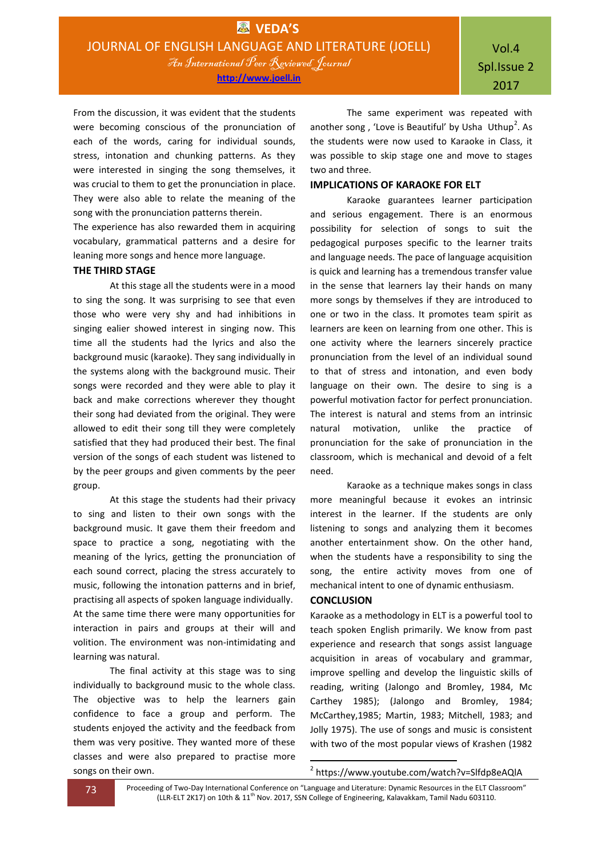**http://www.joell.in**

From the discussion, it was evident that the students were becoming conscious of the pronunciation of each of the words, caring for individual sounds, stress, intonation and chunking patterns. As they were interested in singing the song themselves, it was crucial to them to get the pronunciation in place. They were also able to relate the meaning of the song with the pronunciation patterns therein.

The experience has also rewarded them in acquiring vocabulary, grammatical patterns and a desire for leaning more songs and hence more language.

#### **THE THIRD STAGE**

At this stage all the students were in a mood to sing the song. It was surprising to see that even those who were very shy and had inhibitions in singing ealier showed interest in singing now. This time all the students had the lyrics and also the background music (karaoke). They sang individually in the systems along with the background music. Their songs were recorded and they were able to play it back and make corrections wherever they thought their song had deviated from the original. They were allowed to edit their song till they were completely satisfied that they had produced their best. The final version of the songs of each student was listened to by the peer groups and given comments by the peer group.

At this stage the students had their privacy to sing and listen to their own songs with the background music. It gave them their freedom and space to practice a song, negotiating with the meaning of the lyrics, getting the pronunciation of each sound correct, placing the stress accurately to music, following the intonation patterns and in brief, practising all aspects of spoken language individually. At the same time there were many opportunities for interaction in pairs and groups at their will and volition. The environment was non-intimidating and learning was natural.

The final activity at this stage was to sing individually to background music to the whole class. The objective was to help the learners gain confidence to face a group and perform. The students enjoyed the activity and the feedback from them was very positive. They wanted more of these classes and were also prepared to practise more songs on their own.

The same experiment was repeated with another song, 'Love is Beautiful' by Usha Uthup<sup>2</sup>. As the students were now used to Karaoke in Class, it was possible to skip stage one and move to stages two and three.

# **IMPLICATIONS OF KARAOKE FOR ELT**

Karaoke guarantees learner participation and serious engagement. There is an enormous possibility for selection of songs to suit the pedagogical purposes specific to the learner traits and language needs. The pace of language acquisition is quick and learning has a tremendous transfer value in the sense that learners lay their hands on many more songs by themselves if they are introduced to one or two in the class. It promotes team spirit as learners are keen on learning from one other. This is one activity where the learners sincerely practice pronunciation from the level of an individual sound to that of stress and intonation, and even body language on their own. The desire to sing is a powerful motivation factor for perfect pronunciation. The interest is natural and stems from an intrinsic natural motivation, unlike the practice of pronunciation for the sake of pronunciation in the classroom, which is mechanical and devoid of a felt need.

Karaoke as a technique makes songs in class more meaningful because it evokes an intrinsic interest in the learner. If the students are only listening to songs and analyzing them it becomes another entertainment show. On the other hand, when the students have a responsibility to sing the song, the entire activity moves from one of mechanical intent to one of dynamic enthusiasm.

# **CONCLUSION**

Karaoke as a methodology in ELT is a powerful tool to teach spoken English primarily. We know from past experience and research that songs assist language acquisition in areas of vocabulary and grammar, improve spelling and develop the linguistic skills of reading, writing (Jalongo and Bromley, 1984, Mc Carthey 1985); (Jalongo and Bromley, 1984; McCarthey,1985; Martin, 1983; Mitchell, 1983; and Jolly 1975). The use of songs and music is consistent with two of the most popular views of Krashen (1982

**73** Proceeding of Two-Day International Conference on "Language and Literature: Dynamic Resources in the ELT Classroom" (LLR-ELT 2K17) on 10th & 11<sup>th</sup> Nov. 2017, SSN College of Engineering, Kalavakkam, Tamil Nadu 603110.

1

<sup>2</sup> https://www.youtube.com/watch?v=Slfdp8eAQlA